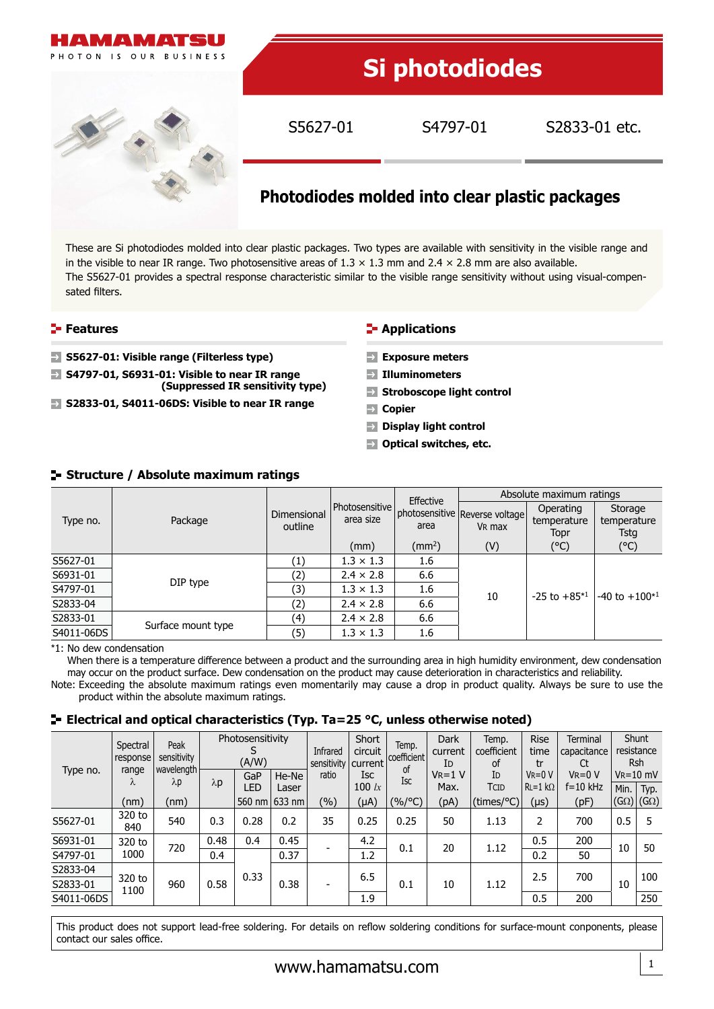

These are Si photodiodes molded into clear plastic packages. Two types are available with sensitivity in the visible range and in the visible to near IR range. Two photosensitive areas of  $1.3 \times 1.3$  mm and  $2.4 \times 2.8$  mm are also available. The S5627-01 provides a spectral response characteristic similar to the visible range sensitivity without using visual-compensated filters.

## **Features**

- **S5627-01: Visible range (Filterless type)**
- **S4797-01, S6931-01: Visible to near IR range (Suppressed IR sensitivity type)**
- **S2833-01, S4011-06DS: Visible to near IR range**

## **E-** Applications

- **Exposure meters**
- **Illuminometers**
- **Stroboscope light control**
- **Copier**
- **Display light control**
- **D** Optical switches, etc.

| Type no.   |                    |                        |                                 | Effective               | Absolute maximum ratings                             |                                  |                                |  |  |
|------------|--------------------|------------------------|---------------------------------|-------------------------|------------------------------------------------------|----------------------------------|--------------------------------|--|--|
|            | Package            | Dimensional<br>outline | l Photosensitive l<br>area size | area                    | photosensitive Reverse voltage<br>V <sub>R</sub> max | Operating<br>temperature<br>Topr | Storage<br>temperature<br>Tsta |  |  |
|            |                    |                        | (mm)                            | $\text{ (mm}^2\text{)}$ | (V)                                                  | (°C)                             | (°C)                           |  |  |
| S5627-01   |                    | (1)                    | $1.3 \times 1.3$                | 1.6                     |                                                      |                                  |                                |  |  |
| S6931-01   |                    | (2)                    | $2.4 \times 2.8$                | 6.6                     |                                                      |                                  |                                |  |  |
| S4797-01   | DIP type           | (3)                    | $1.3 \times 1.3$                | 1.6                     | 10                                                   | $-25$ to $+85*1$                 | $-40$ to $+100*1$              |  |  |
| S2833-04   |                    | (2)                    | $2.4 \times 2.8$                | 6.6                     |                                                      |                                  |                                |  |  |
| S2833-01   |                    | (4)                    | $2.4 \times 2.8$                | 6.6                     |                                                      |                                  |                                |  |  |
| S4011-06DS | Surface mount type | (5)                    | $1.3 \times 1.3$                | 1.6                     |                                                      |                                  |                                |  |  |

# **Structure / Absolute maximum ratings**

\*1: No dew condensation

When there is a temperature difference between a product and the surrounding area in high humidity environment, dew condensation may occur on the product surface. Dew condensation on the product may cause deterioration in characteristics and reliability. Note: Exceeding the absolute maximum ratings even momentarily may cause a drop in product quality. Always be sure to use the product within the absolute maximum ratings.

## **E** Electrical and optical characteristics (Typ. Ta=25 °C, unless otherwise noted)

| Type no.   | Spectral<br>response<br>range<br>λ | Peak<br>sensitivity<br>wavelength<br>$\lambda p$ | Photosensitivity<br>(A/W)<br>GaP<br>He-Ne |       | Infrared<br>sensitivity<br>ratio | Short<br>circuit<br>current<br><b>Isc</b> | Temp.<br>coefficient<br>οf | <b>Dark</b><br>current<br>ID<br>$V_R = 1 V$ | Temp.<br>coefficient<br><b>of</b><br>ID | <b>Rise</b><br>time<br>tr<br>$V = 0 V$ | <b>Terminal</b><br>capacitance<br>Ct<br>$V = 0 V$ |      | Shunt<br>resistance<br><b>Rsh</b><br>$V_R = 10$ mV |                           |
|------------|------------------------------------|--------------------------------------------------|-------------------------------------------|-------|----------------------------------|-------------------------------------------|----------------------------|---------------------------------------------|-----------------------------------------|----------------------------------------|---------------------------------------------------|------|----------------------------------------------------|---------------------------|
|            |                                    |                                                  | $\lambda p$<br>LED                        | Laser |                                  | 100 $lx$                                  | <b>Isc</b>                 | Max.                                        | TCID                                    | $RL = 1 k\Omega$                       | $f = 10$ kHz                                      | Min. | Typ.                                               |                           |
|            | (nm)                               | (nm)                                             |                                           |       | 560 nm 633 nm                    | $(\%)$                                    | (µA)                       | $(\%$ /°C)                                  | (pA)                                    | (times/°C)                             | (µs)                                              | (pF) |                                                    | $(G\Omega)$ (G $\Omega$ ) |
| S5627-01   | 320 to<br>840                      | 540                                              | 0.3                                       | 0.28  | 0.2                              | 35                                        | 0.25                       | 0.25                                        | 50                                      | 1.13                                   | 2                                                 | 700  | 0.5                                                | 5                         |
| S6931-01   | 320 to                             | 720                                              | 0.48                                      | 0.4   | 0.45                             |                                           | 4.2                        | 0.1                                         | 20                                      | 1.12                                   | 0.5                                               | 200  | 10                                                 | 50                        |
| S4797-01   | 1000                               |                                                  | 0.4                                       |       | 0.37                             |                                           | 1.2                        |                                             |                                         |                                        | 0.2                                               | 50   |                                                    |                           |
| S2833-04   |                                    |                                                  |                                           | 0.33  |                                  |                                           | 6.5                        |                                             |                                         |                                        | 2.5                                               | 700  |                                                    | 100                       |
| S2833-01   | 320 to<br>1100                     | 960                                              | 0.58                                      |       | 0.38                             |                                           |                            | 0.1                                         | 10                                      | 1.12                                   |                                                   |      | 10                                                 |                           |
| S4011-06DS |                                    |                                                  |                                           |       |                                  |                                           | 1.9                        |                                             |                                         |                                        | 0.5                                               | 200  |                                                    | 250                       |

This product does not support lead-free soldering. For details on reflow soldering conditions for surface-mount conponents, please contact our sales office.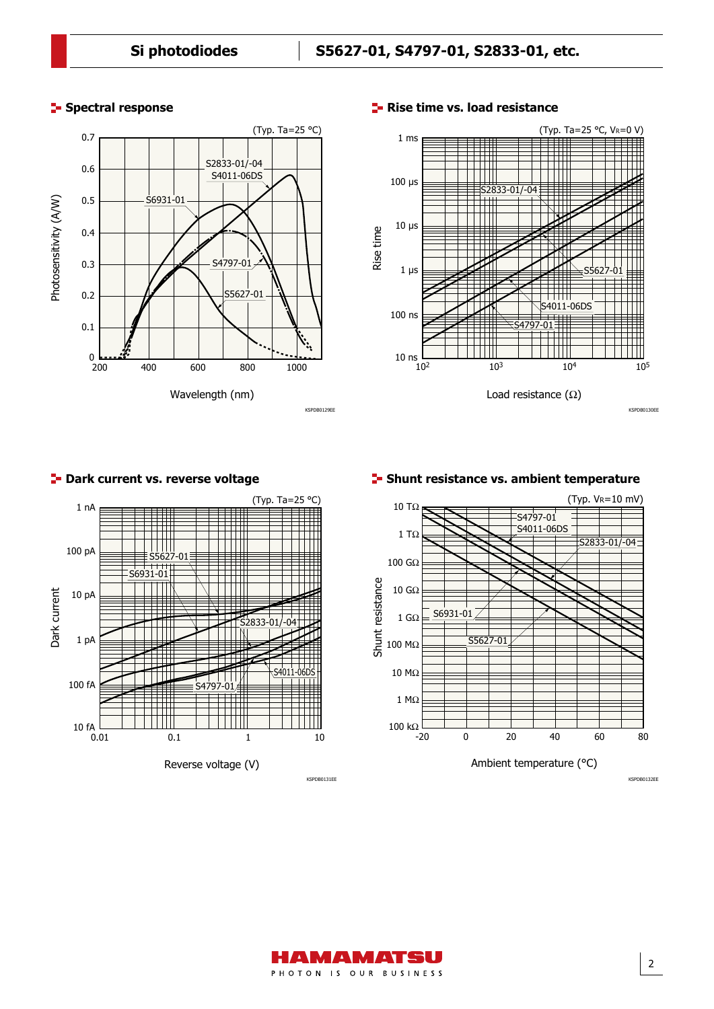## **Spectral response**





## **F** Rise time vs. load resistance





## **P**- Dark current vs. reverse voltage

## **F** Shunt resistance vs. ambient temperature



KSPDB0131EE KSPDB0132EE

2

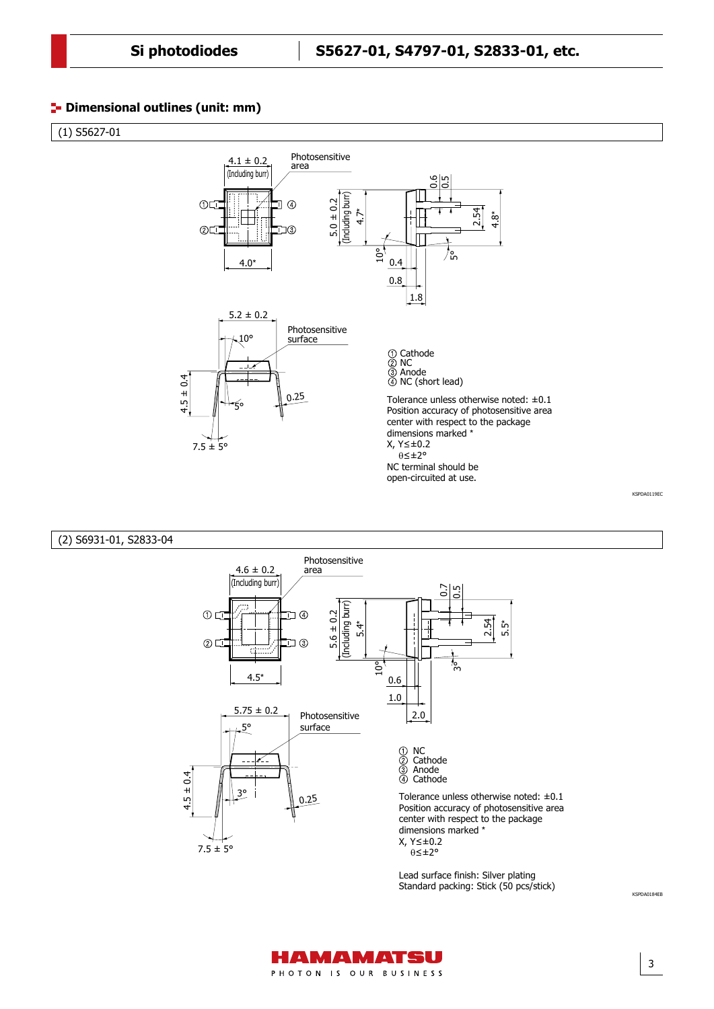## **<sup>1</sup>** Dimensional outlines (unit: mm)

 $(1)$  S5627-01



#### Dimensional outline (2) S6931-01, S2833-04



Lead surface finish: Silver plating Standard packing: Stick (50 pcs/stick)

3

KSPDA0184EB

KSPDA0119EC

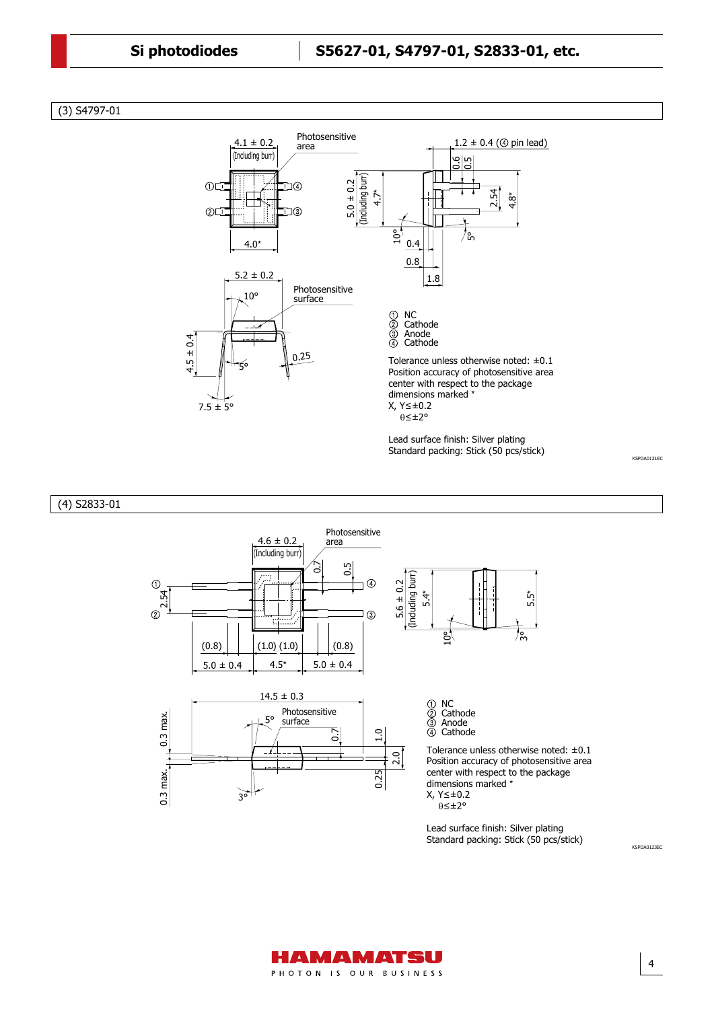(3) S4797-01





 $5.0 \pm 0.4$   $4.5^*$   $5.0 \pm 0.4$ 

NC Cathode Anode Cathode

Tolerance unless otherwise noted: ±0.1 Position accuracy of photosensitive area center with respect to the package dimensions marked \* X, Y≤±0.2 θ≤±2°

Lead surface finish: Silver plating Standard packing: Stick (50 pcs/stick)

4

KSPDA0123EC